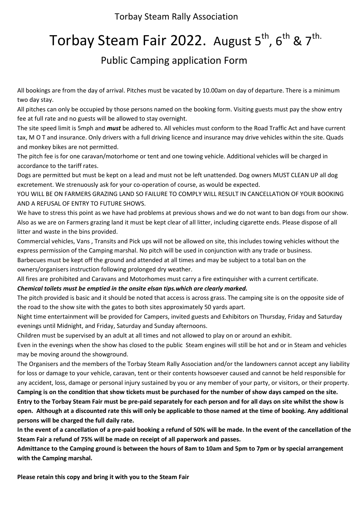Torbay Steam Rally Association

# Torbay Steam Fair 2022. August  $5^{th}$ ,  $6^{th}$  &  $7^{th}$ .

### Public Camping application Form

All bookings are from the day of arrival. Pitches must be vacated by 10.00am on day of departure. There is a minimum two day stay.

All pitches can only be occupied by those persons named on the booking form. Visiting guests must pay the show entry fee at full rate and no guests will be allowed to stay overnight.

The site speed limit is 5mph and *must* be adhered to. All vehicles must conform to the Road Traffic Act and have current tax, M O T and insurance. Only drivers with a full driving licence and insurance may drive vehicles within the site. Quads and monkey bikes are not permitted.

The pitch fee is for one caravan/motorhome or tent and one towing vehicle. Additional vehicles will be charged in accordance to the tariff rates.

Dogs are permitted but must be kept on a lead and must not be left unattended. Dog owners MUST CLEAN UP all dog excretement. We strenuously ask for your co-operation of course, as would be expected.

YOU WILL BE ON FARMERS GRAZING LAND SO FAILURE TO COMPLY WILL RESULT IN CANCELLATION OF YOUR BOOKING AND A REFUSAL OF ENTRY TO FUTURE SHOWS.

We have to stress this point as we have had problems at previous shows and we do not want to ban dogs from our show. Also as we are on Farmers grazing land it must be kept clear of all litter, including cigarette ends. Please dispose of all litter and waste in the bins provided.

Commercial vehicles, Vans , Transits and Pick ups will not be allowed on site, this includes towing vehicles without the express permission of the Camping marshal. No pitch will be used in conjunction with any trade or business.

Barbecues must be kept off the ground and attended at all times and may be subject to a total ban on the owners/organisers instruction following prolonged dry weather.

All fires are prohibited and Caravans and Motorhomes must carry a fire extinquisher with a current certificate.

### *Chemical toilets must be emptied in the onsite elsan tips.which are clearly marked.*

The pitch provided is basic and it should be noted that access is across grass. The camping site is on the opposite side of the road to the show site with the gates to both sites approximately 50 yards apart.

Night time entertainment will be provided for Campers, invited guests and Exhibitors on Thursday, Friday and Saturday evenings until Midnight, and Friday, Saturday and Sunday afternoons.

Children must be supervised by an adult at all times and not allowed to play on or around an exhibit.

Even in the evenings when the show has closed to the public Steam engines will still be hot and or in Steam and vehicles may be moving around the showground.

The Organisers and the members of the Torbay Steam Rally Association and/or the landowners cannot accept any liability for loss or damage to your vehicle, caravan, tent or their contents howsoever caused and cannot be held responsible for any accident, loss, damage or personal injury sustained by you or any member of your party, or visitors, or their property.

**Camping is on the condition that show tickets must be purchased for the number of show days camped on the site. Entry to the Torbay Steam Fair must be pre-paid separately for each person and for all days on site whilst the show is open. Although at a discounted rate this will only be applicable to those named at the time of booking. Any additional persons will be charged the full daily rate.**

**In the event of a cancellation of a pre-paid booking a refund of 50% will be made. In the event of the cancellation of the Steam Fair a refund of 75% will be made on receipt of all paperwork and passes.**

**Admittance to the Camping ground is between the hours of 8am to 10am and 5pm to 7pm or by special arrangement with the Camping marshal.**

**Please retain this copy and bring it with you to the Steam Fair**